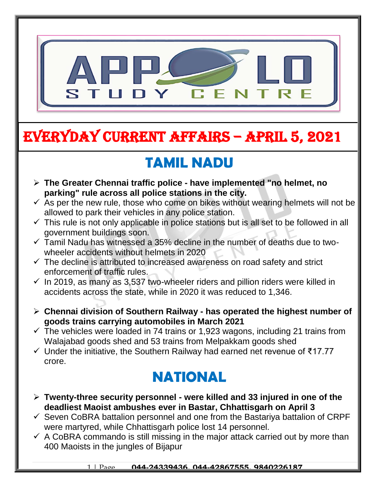

# EVERYDAY CURRENT AFFAIRS – APRIL 5, 2021

-

## **TAMIL NADU**

- **The Greater Chennai traffic police - have implemented "no helmet, no parking" rule across all police stations in the city.**
- $\checkmark$  As per the new rule, those who come on bikes without wearing helmets will not be allowed to park their vehicles in any police station.
- $\checkmark$  This rule is not only applicable in police stations but is all set to be followed in all government buildings soon.
- $\checkmark$  Tamil Nadu has witnessed a 35% decline in the number of deaths due to twowheeler accidents without helmets in 2020
- $\checkmark$  The decline is attributed to increased awareness on road safety and strict enforcement of traffic rules.
- $\checkmark$  In 2019, as many as 3,537 two-wheeler riders and pillion riders were killed in accidents across the state, while in 2020 it was reduced to 1,346.
- **Chennai division of Southern Railway - has operated the highest number of goods trains carrying automobiles in March 2021**
- $\checkmark$  The vehicles were loaded in 74 trains or 1,923 wagons, including 21 trains from Walajabad goods shed and 53 trains from Melpakkam goods shed
- Under the initiative, the Southern Railway had earned net revenue of ₹17.77 crore.

## **NATIONAL**

- **Twenty-three security personnel - were killed and 33 injured in one of the deadliest Maoist ambushes ever in Bastar, Chhattisgarh on April 3**
- $\checkmark$  Seven CoBRA battalion personnel and one from the Bastariya battalion of CRPF were martyred, while Chhattisgarh police lost 14 personnel.
- $\checkmark$  A CoBRA commando is still missing in the major attack carried out by more than 400 Maoists in the jungles of Bijapur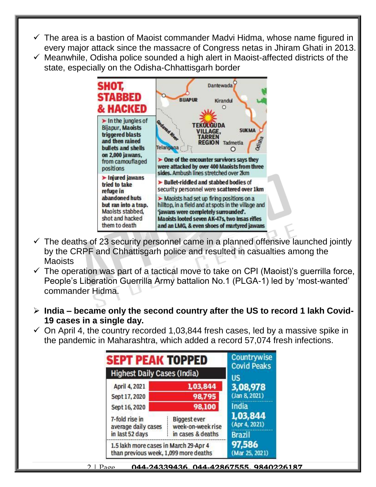- $\checkmark$  The area is a bastion of Maoist commander Madvi Hidma, whose name figured in every major attack since the massacre of Congress netas in Jhiram Ghati in 2013.
- $\checkmark$  Meanwhile, Odisha police sounded a high alert in Maoist-affected districts of the state, especially on the Odisha-Chhattisgarh border



- $\checkmark$  The deaths of 23 security personnel came in a planned offensive launched jointly by the CRPF and Chhattisgarh police and resulted in casualties among the Maoists
- $\checkmark$  The operation was part of a tactical move to take on CPI (Maoist)'s querrilla force, People's Liberation Guerrilla Army battalion No.1 (PLGA-1) led by 'most-wanted' commander Hidma.
- **India – became only the second country after the US to record 1 lakh Covid-19 cases in a single day.**
- $\checkmark$  On April 4, the country recorded 1,03,844 fresh cases, led by a massive spike in the pandemic in Maharashtra, which added a record 57,074 fresh infections.

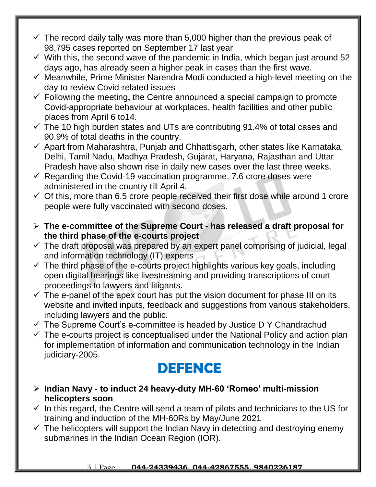- $\checkmark$  The record daily tally was more than 5,000 higher than the previous peak of 98,795 cases reported on September 17 last year
- $\checkmark$  With this, the second wave of the pandemic in India, which began just around 52 days ago, has already seen a higher peak in cases than the first wave.
- $\checkmark$  Meanwhile, Prime Minister Narendra Modi conducted a high-level meeting on the day to review Covid-related issues
- Following the meeting**,** the Centre announced a special campaign to promote Covid-appropriate behaviour at workplaces, health facilities and other public places from April 6 to14.
- $\checkmark$  The 10 high burden states and UTs are contributing 91.4% of total cases and 90.9% of total deaths in the country.
- $\checkmark$  Apart from Maharashtra, Punjab and Chhattisgarh, other states like Karnataka, Delhi, Tamil Nadu, Madhya Pradesh, Gujarat, Haryana, Rajasthan and Uttar Pradesh have also shown rise in daily new cases over the last three weeks.
- $\checkmark$  Regarding the Covid-19 vaccination programme, 7.6 crore doses were administered in the country till April 4.
- $\checkmark$  Of this, more than 6.5 crore people received their first dose while around 1 crore people were fully vaccinated with second doses.
- **The e-committee of the Supreme Court - has released a draft proposal for the third phase of the e-courts project**
- $\checkmark$  The draft proposal was prepared by an expert panel comprising of judicial, legal and information technology (IT) experts
- $\checkmark$  The third phase of the e-courts project highlights various key goals, including open digital hearings like livestreaming and providing transcriptions of court proceedings to lawyers and litigants.
- $\checkmark$  The e-panel of the apex court has put the vision document for phase III on its website and invited inputs, feedback and suggestions from various stakeholders, including lawyers and the public.
- $\checkmark$  The Supreme Court's e-committee is headed by Justice D Y Chandrachud
- $\checkmark$  The e-courts project is conceptualised under the National Policy and action plan for implementation of information and communication technology in the Indian judiciary-2005.

## **DEFENCE**

- **Indian Navy - to induct 24 heavy-duty MH-60 'Romeo' multi-mission helicopters soon**
- $\checkmark$  In this regard, the Centre will send a team of pilots and technicians to the US for training and induction of the MH-60Rs by May/June 2021
- $\checkmark$  The helicopters will support the Indian Navy in detecting and destroying enemy submarines in the Indian Ocean Region (IOR).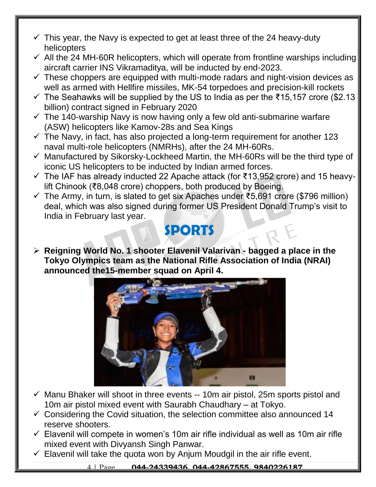- $\checkmark$  This year, the Navy is expected to get at least three of the 24 heavy-duty helicopters
- $\checkmark$  All the 24 MH-60R helicopters, which will operate from frontline warships including aircraft carrier INS Vikramaditya, will be inducted by end-2023.
- $\checkmark$  These choppers are equipped with multi-mode radars and night-vision devices as well as armed with Hellfire missiles, MK-54 torpedoes and precision-kill rockets
- $\checkmark$  The Seahawks will be supplied by the US to India as per the ₹15,157 crore (\$2.13 billion) contract signed in February 2020
- $\checkmark$  The 140-warship Navy is now having only a few old anti-submarine warfare (ASW) helicopters like Kamov-28s and Sea Kings
- $\checkmark$  The Navy, in fact, has also projected a long-term requirement for another 123 naval multi-role helicopters (NMRHs), after the 24 MH-60Rs.
- $\checkmark$  Manufactured by Sikorsky-Lockheed Martin, the MH-60Rs will be the third type of iconic US helicopters to be inducted by Indian armed forces.
- The IAF has already inducted 22 Apache attack (for ₹13,952 crore) and 15 heavylift Chinook (₹8,048 crore) choppers, both produced by Boeing.
- $\checkmark$  The Army, in turn, is slated to get six Apaches under ₹5,691 crore (\$796 million) deal, which was also signed during former US President Donald Trump's visit to India in February last year.

#### **SPORTS**

 **Reigning World No. 1 shooter Elavenil Valarivan - bagged a place in the Tokyo Olympics team as the National Rifle Association of India (NRAI) announced the15-member squad on April 4.**



- $\checkmark$  Manu Bhaker will shoot in three events -- 10m air pistol, 25m sports pistol and 10m air pistol mixed event with Saurabh Chaudhary – at Tokyo.
- $\checkmark$  Considering the Covid situation, the selection committee also announced 14 reserve shooters.
- $\checkmark$  Elavenil will compete in women's 10m air rifle individual as well as 10m air rifle mixed event with Divyansh Singh Panwar.
- $\checkmark$  Elavenil will take the quota won by Anjum Moudgil in the air rifle event.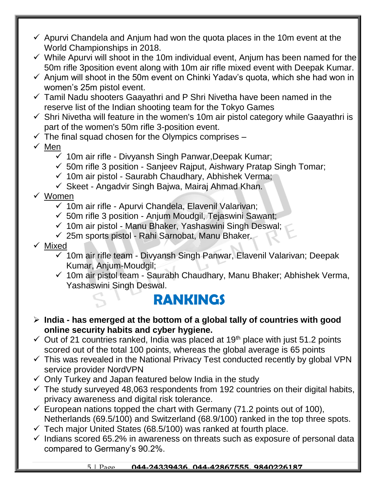- $\checkmark$  Apurvi Chandela and Anjum had won the quota places in the 10m event at the World Championships in 2018.
- $\checkmark$  While Apurvi will shoot in the 10m individual event, Anjum has been named for the 50m rifle 3position event along with 10m air rifle mixed event with Deepak Kumar.
- $\checkmark$  Anjum will shoot in the 50m event on Chinki Yadav's quota, which she had won in women's 25m pistol event.
- $\checkmark$  Tamil Nadu shooters Gaayathri and P Shri Nivetha have been named in the reserve list of the Indian shooting team for the Tokyo Games
- $\checkmark$  Shri Nivetha will feature in the women's 10m air pistol category while Gaayathri is part of the women's 50m rifle 3-position event.
- $\checkmark$  The final squad chosen for the Olympics comprises –
- $\times$  Men
	- $\checkmark$  10m air rifle Divyansh Singh Panwar, Deepak Kumar;
	- $\checkmark$  50m rifle 3 position Sanjeev Rajput, Aishwary Pratap Singh Tomar;
	- $\checkmark$  10m air pistol Saurabh Chaudhary, Abhishek Verma;
	- $\checkmark$  Skeet Angadvir Singh Bajwa, Mairaj Ahmad Khan.
- Women
	- $\checkmark$  10m air rifle Apurvi Chandela, Elavenil Valarivan;
	- $\checkmark$  50m rifle 3 position Anjum Moudgil, Tejaswini Sawant;
	- $\checkmark$  10m air pistol Manu Bhaker, Yashaswini Singh Deswal;
	- $\checkmark$  25m sports pistol Rahi Sarnobat, Manu Bhaker.
- $\checkmark$  Mixed
	- $\checkmark$  10m air rifle team Divyansh Singh Panwar, Elavenil Valarivan; Deepak Kumar, Anjum-Moudgil;
	- $\checkmark$  10m air pistol team Saurabh Chaudhary, Manu Bhaker; Abhishek Verma, Yashaswini Singh Deswal.

#### **RANKINGS**

- **India - has emerged at the bottom of a global tally of countries with good online security habits and cyber hygiene.**
- $\checkmark$  Out of 21 countries ranked, India was placed at 19<sup>th</sup> place with just 51.2 points scored out of the total 100 points, whereas the global average is 65 points
- $\checkmark$  This was revealed in the National Privacy Test conducted recently by global VPN service provider NordVPN
- $\checkmark$  Only Turkey and Japan featured below India in the study
- $\checkmark$  The study surveyed 48,063 respondents from 192 countries on their digital habits, privacy awareness and digital risk tolerance.
- $\checkmark$  European nations topped the chart with Germany (71.2 points out of 100), Netherlands (69.5/100) and Switzerland (68.9/100) ranked in the top three spots.
- $\checkmark$  Tech major United States (68.5/100) was ranked at fourth place.
- $\checkmark$  Indians scored 65.2% in awareness on threats such as exposure of personal data compared to Germany's 90.2%.